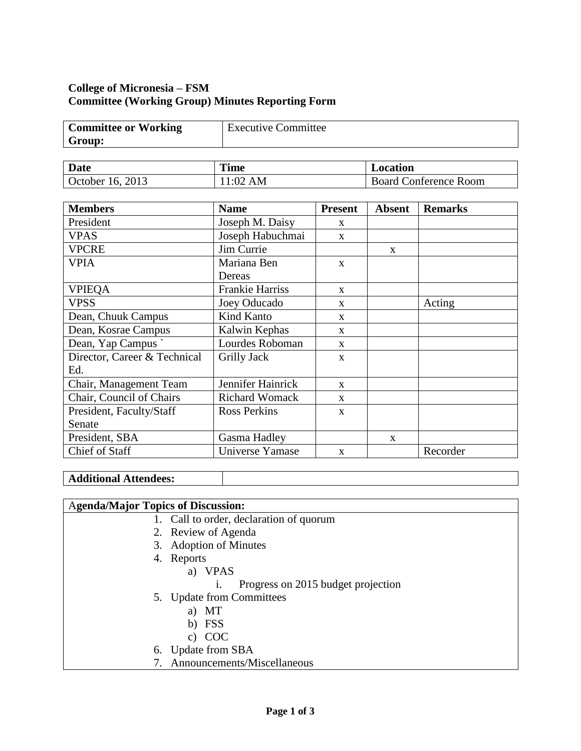# **College of Micronesia – FSM Committee (Working Group) Minutes Reporting Form**

| <b>Committee or Working</b> | <b>Executive Committee</b> |
|-----------------------------|----------------------------|
| Group:                      |                            |

| <b>Date</b>      | <b>Time</b> | <b>Location</b>              |  |
|------------------|-------------|------------------------------|--|
| October 16, 2013 | AM<br>:02   | <b>Board Conference Room</b> |  |

| <b>Members</b>               | <b>Name</b>            | <b>Present</b> | <b>Absent</b> | <b>Remarks</b> |
|------------------------------|------------------------|----------------|---------------|----------------|
| President                    | Joseph M. Daisy        | X              |               |                |
| <b>VPAS</b>                  | Joseph Habuchmai       | $\mathbf{x}$   |               |                |
| <b>VPCRE</b>                 | Jim Currie             |                | X             |                |
| <b>VPIA</b>                  | Mariana Ben            | $\mathbf{x}$   |               |                |
|                              | Dereas                 |                |               |                |
| <b>VPIEQA</b>                | <b>Frankie Harriss</b> | $\mathbf{x}$   |               |                |
| <b>VPSS</b>                  | Joey Oducado           | X              |               | Acting         |
| Dean, Chuuk Campus           | Kind Kanto             | X              |               |                |
| Dean, Kosrae Campus          | Kalwin Kephas          | $\mathbf{X}$   |               |                |
| Dean, Yap Campus             | Lourdes Roboman        | $\mathbf{X}$   |               |                |
| Director, Career & Technical | Grilly Jack            | X              |               |                |
| Ed.                          |                        |                |               |                |
| Chair, Management Team       | Jennifer Hainrick      | $\mathbf{x}$   |               |                |
| Chair, Council of Chairs     | <b>Richard Womack</b>  | $\mathbf{x}$   |               |                |
| President, Faculty/Staff     | <b>Ross Perkins</b>    | X              |               |                |
| Senate                       |                        |                |               |                |
| President, SBA               | Gasma Hadley           |                | $\mathbf{x}$  |                |
| Chief of Staff               | Universe Yamase        | $\mathbf{x}$   |               | Recorder       |

### **Additional Attendees:**

## A**genda/Major Topics of Discussion:**

- 1. Call to order, declaration of quorum
- 2. Review of Agenda
- 3. Adoption of Minutes
- 4. Reports
	- a) VPAS
		- i. Progress on 2015 budget projection
- 5. Update from Committees
	- a) MT
	- b) FSS
		- c) COC
- 6. Update from SBA
- 7. Announcements/Miscellaneous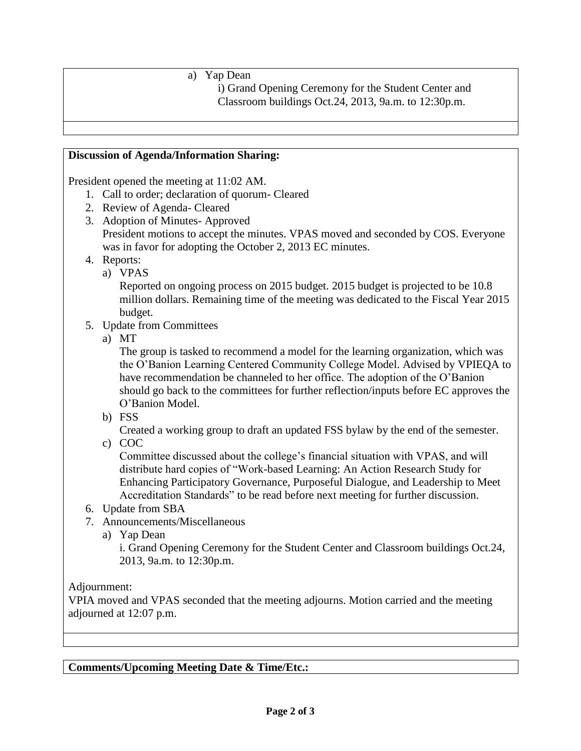# a) Yap Dean

i) Grand Opening Ceremony for the Student Center and Classroom buildings Oct.24, 2013, 9a.m. to 12:30p.m.

## **Discussion of Agenda/Information Sharing:**

President opened the meeting at 11:02 AM.

- 1. Call to order; declaration of quorum- Cleared
- 2. Review of Agenda- Cleared
- 3. Adoption of Minutes- Approved President motions to accept the minutes. VPAS moved and seconded by COS. Everyone was in favor for adopting the October 2, 2013 EC minutes.
- 4. Reports:
	- a) VPAS

Reported on ongoing process on 2015 budget. 2015 budget is projected to be 10.8 million dollars. Remaining time of the meeting was dedicated to the Fiscal Year 2015 budget.

- 5. Update from Committees
	- a) MT

The group is tasked to recommend a model for the learning organization, which was the O'Banion Learning Centered Community College Model. Advised by VPIEQA to have recommendation be channeled to her office. The adoption of the O'Banion should go back to the committees for further reflection/inputs before EC approves the O'Banion Model.

b) FSS

Created a working group to draft an updated FSS bylaw by the end of the semester.

c) COC

Committee discussed about the college's financial situation with VPAS, and will distribute hard copies of "Work-based Learning: An Action Research Study for Enhancing Participatory Governance, Purposeful Dialogue, and Leadership to Meet Accreditation Standards" to be read before next meeting for further discussion.

- 6. Update from SBA
- 7. Announcements/Miscellaneous
	- a) Yap Dean

i. Grand Opening Ceremony for the Student Center and Classroom buildings Oct.24, 2013, 9a.m. to 12:30p.m.

# Adjournment:

VPIA moved and VPAS seconded that the meeting adjourns. Motion carried and the meeting adjourned at 12:07 p.m.

**Comments/Upcoming Meeting Date & Time/Etc.:**